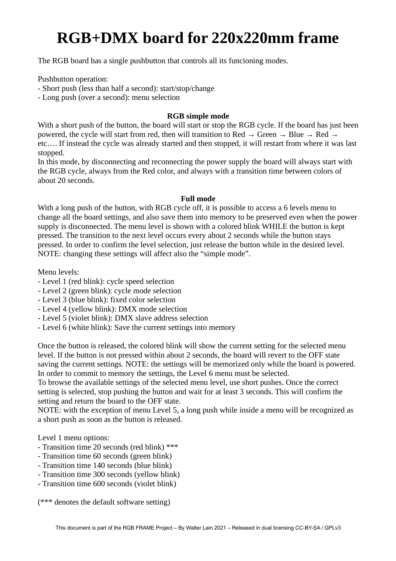## **RGB+DMX board for 220x220mm frame**

The RGB board has a single pushbutton that controls all its funcioning modes.

Pushbutton operation:

- Short push (less than half a second): start/stop/change

- Long push (over a second): menu selection

## **RGB simple mode**

With a short push of the button, the board will start or stop the RGB cycle. If the board has just been powered, the cycle will start from red, then will transition to Red  $\rightarrow$  Green  $\rightarrow$  Blue  $\rightarrow$  Red  $\rightarrow$ etc…. If instead the cycle was already started and then stopped, it will restart from where it was last stopped.

In this mode, by disconnecting and reconnecting the power supply the board will always start with the RGB cycle, always from the Red color, and always with a transition time between colors of about 20 seconds.

## **Full mode**

With a long push of the button, with RGB cycle off, it is possible to access a 6 levels menu to change all the board settings, and also save them into memory to be preserved even when the power supply is disconnected. The menu level is shown with a colored blink WHILE the button is kept pressed. The transition to the next level occurs every about 2 seconds while the button stays pressed. In order to confirm the level selection, just release the button while in the desired level. NOTE: changing these settings will affect also the "simple mode".

Menu levels:

- Level 1 (red blink): cycle speed selection
- Level 2 (green blink): cycle mode selection
- Level 3 (blue blink): fixed color selection
- Level 4 (yellow blink): DMX mode selection
- Level 5 (violet blink): DMX slave address selection
- Level 6 (white blink): Save the current settings into memory

Once the button is released, the colored blink will show the current setting for the selected menu level. If the button is not pressed within about 2 seconds, the board will revert to the OFF state saving the current settings. NOTE: the settings will be memorized only while the board is powered. In order to commit to memory the settings, the Level 6 menu must be selected.

To browse the available settings of the selected menu level, use short pushes. Once the correct setting is selected, stop pushing the button and wait for at least 3 seconds. This will confirm the setting and return the board to the OFF state.

NOTE: with the exception of menu Level 5, a long push while inside a menu will be recognized as a short push as soon as the button is released.

Level 1 menu options:

- Transition time 20 seconds (red blink) \*\*\*
- Transition time 60 seconds (green blink)
- Transition time 140 seconds (blue blink)
- Transition time 300 seconds (yellow blink)
- Transition time 600 seconds (violet blink)

(\*\*\* denotes the default software setting)